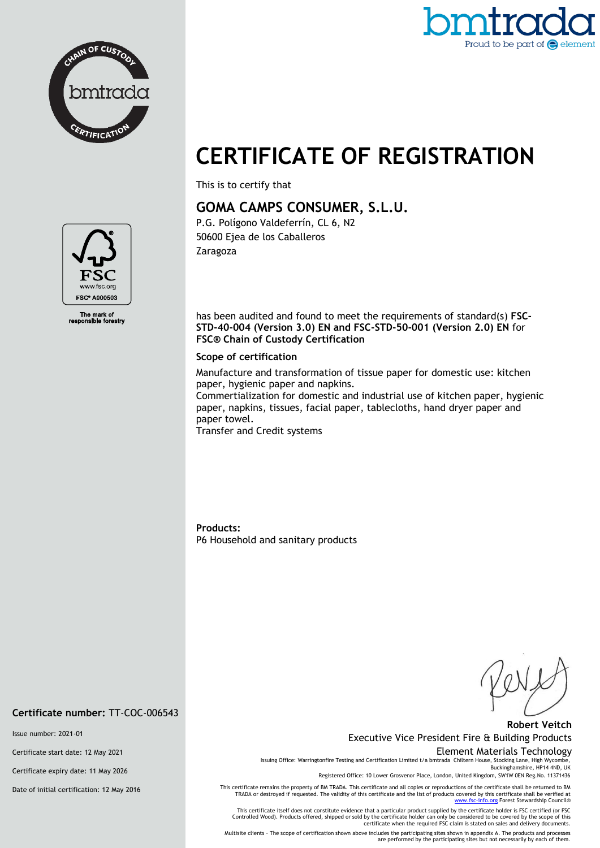



# **CERTIFICATE OF REGISTRATION**

This is to certify that

## **GOMA CAMPS CONSUMER, S.L.U.**

P.G. Polígono Valdeferrín, CL 6, N2 50600 Ejea de los Caballeros Zaragoza

has been audited and found to meet the requirements of standard(s) **FSC-STD-40-004 (Version 3.0) EN and FSC-STD-50-001 (Version 2.0) EN** for **FSC® Chain of Custody Certification**

#### **Scope of certification**

Manufacture and transformation of tissue paper for domestic use: kitchen paper, hygienic paper and napkins.

Commertialization for domestic and industrial use of kitchen paper, hygienic paper, napkins, tissues, facial paper, tablecloths, hand dryer paper and paper towel.

Transfer and Credit systems

**Products:**  P6 Household and sanitary products

### **Robert Veitch** Executive Vice President Fire & Building Products

#### Element Materials Technology

Issuing Office: Warringtonfire Testing and Certification Limited t/a bmtrada Chiltern House, Stocking Lane, High Wycombe, Buckinghamshire, HP14 4ND, UK

Registered Office: 10 Lower Grosvenor Place, London, United Kingdom, SW1W 0EN Reg.No. 11371436

This certificate remains the property of BM TRADA. This certificate and all copies or reproductions of the certificate shall be returned to BM<br>TRADA or destroyed if requested. The validity of this certificate and the list [www.fsc-info.org](http://www.fsc-info.org/) Forest Stewardship Council®

This certificate itself does not constitute evidence that a particular product supplied by the certificate holder is FSC certified (or FSC<br>Controlled Wood). Products offered, shipped or sold by the certificate holder can o

Multisite clients – The scope of certification shown above includes the participating sites shown in appendix A. The products and processes are performed by the participating sites but not necessarily by each of them.



The mark of<br>ponsible forestry

**Certificate number:** TT-COC-006543

Issue number: 2021-01

Certificate start date: 12 May 2021

Certificate expiry date: 11 May 2026

Date of initial certification: 12 May 2016